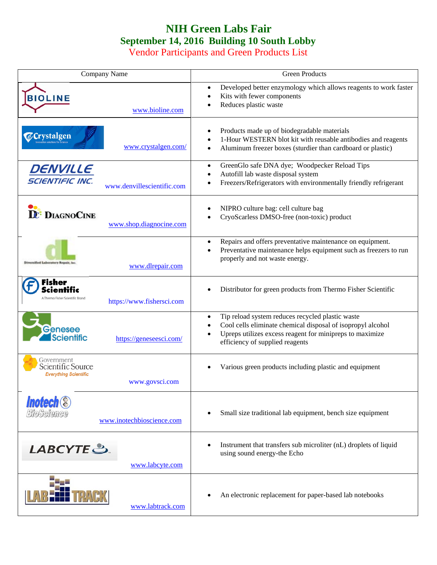## **NIH Green Labs Fair September 14, 2016 Building 10 South Lobby**

Vendor Participants and Green Products List

| Company Name                                                                      | Green Products                                                                                                                                                                                                              |
|-----------------------------------------------------------------------------------|-----------------------------------------------------------------------------------------------------------------------------------------------------------------------------------------------------------------------------|
| <b>BIOLINE</b><br>www.bioline.com                                                 | Developed better enzymology which allows reagents to work faster<br>$\bullet$<br>Kits with fewer components<br>Reduces plastic waste                                                                                        |
| <b>Crystalgen</b><br>www.crystalgen.com/                                          | Products made up of biodegradable materials<br>1-Hour WESTERN blot kit with reusable antibodies and reagents<br>Aluminum freezer boxes (sturdier than cardboard or plastic)<br>$\bullet$                                    |
| DENVILLE<br><b>SCIENTIFIC INC.</b><br>www.denvillescientific.com                  | GreenGlo safe DNA dye; Woodpecker Reload Tips<br>$\bullet$<br>Autofill lab waste disposal system<br>Freezers/Refrigerators with environmentally friendly refrigerant                                                        |
| <b>DE:</b> DIAGNOCINE<br>www.shop.diagnocine.com                                  | NIPRO culture bag: cell culture bag<br>CryoScarless DMSO-free (non-toxic) product                                                                                                                                           |
| www.dlrepair.com                                                                  | Repairs and offers preventative maintenance on equipment.<br>$\bullet$<br>Preventative maintenance helps equipment such as freezers to run<br>$\bullet$<br>properly and not waste energy.                                   |
| Fisher<br>A Thermo Fisher Scientific Brand<br>https://www.fishersci.com           | Distributor for green products from Thermo Fisher Scientific                                                                                                                                                                |
| Genesee<br><b>Scientific</b><br>https://geneseesci.com/                           | Tip reload system reduces recycled plastic waste<br>$\bullet$<br>Cool cells eliminate chemical disposal of isopropyl alcohol<br>Upreps utilizes excess reagent for minipreps to maximize<br>efficiency of supplied reagents |
| Government<br>Scientific Source<br><b>Everything Scientific</b><br>www.govsci.com | Various green products including plastic and equipment                                                                                                                                                                      |
| <b>Inotech</b><br>BioScience<br>www.inotechbioscience.com                         | Small size traditional lab equipment, bench size equipment                                                                                                                                                                  |
| LABCYTE S.<br>www.labcyte.com                                                     | Instrument that transfers sub microliter (nL) droplets of liquid<br>using sound energy-the Echo                                                                                                                             |
| www.labtrack.com                                                                  | An electronic replacement for paper-based lab notebooks                                                                                                                                                                     |